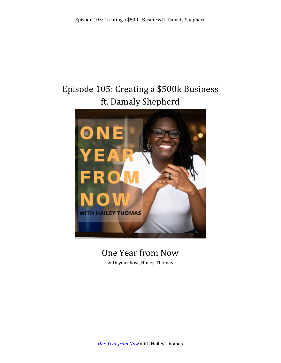# Episode 105: Creating a \$500k Business ft. Damaly Shepherd



# One Year from Now

with your host, Hailey Thomas

**One Year from Now** with Hailey Thomas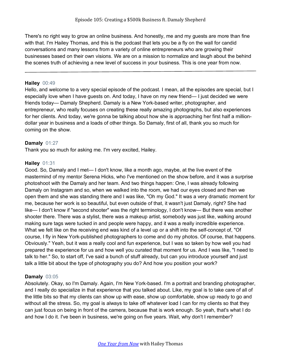There's no right way to grow an online business. And honestly, me and my guests are more than fine with that. I'm Hailey Thomas, and this is the podcast that lets you be a fly on the wall for candid conversations and many lessons from a variety of online entrepreneurs who are growing their businesses based on their own visions. We are on a mission to normalize and laugh about the behind the scenes truth of achieving a new level of success in your business. This is one year from now.

#### **Hailey** 00:49

Hello, and welcome to a very special episode of the podcast. I mean, all the episodes are special, but I especially love when I have guests on. And today, I have on my new friend— I just decided we were friends today— Damaly Shepherd. Damaly is a New York-based writer, photographer, and entrepreneur, who really focuses on creating these really amazing photographs, but also experiences for her clients. And today, we're gonna be talking about how she is approaching her first half a milliondollar year in business and a loads of other things. So Damaly, first of all, thank you so much for coming on the show.

# **Damaly** 01:27

Thank you so much for asking me. I'm very excited, Hailey.

# **Hailey** 01:31

Good. So, Damaly and I met— I don't know, like a month ago, maybe, at the live event of the mastermind of my mentor Serena Hicks, who I've mentioned on the show before, and it was a surprise photoshoot with the Damaly and her team. And two things happen: One, I was already following Damaly on Instagram and so, when we walked into the room, we had our eyes closed and then we open them and she was standing there and I was like, "Oh my God." It was a very dramatic moment for me, because her work is so beautiful, but even outside of that, it wasn't just Damaly, right? She had like— I don't know if "second shooter" was the right terminology, I don't know— But there was another shooter there. There was a stylist, there was a makeup artist, somebody was just like, walking around making sure tags were tucked in and people were happy, and it was a really incredible experience. What we felt like on the receiving end was kind of a level up or a shift into the self-concept of, "Of course, I fly in New York-published photographers to come and do my photos. Of course, that happens. Obviously." Yeah, but it was a really cool and fun experience, but I was so taken by how well you had prepared the experience for us and how well you curated that moment for us. And I was like, "I need to talk to her." So, to start off, I've said a bunch of stuff already, but can you introduce yourself and just talk a little bit about the type of photography you do? And how you position your work?

# **Damaly** 03:05

Absolutely. Okay, so I'm Damaly. Again, I'm New York-based. I'm a portrait and branding photographer, and I really do specialize in that experience that you talked about. Like, my goal is to take care of all of the little bits so that my clients can show up with ease, show up comfortable, show up ready to go and without all the stress. So, my goal is always to take off whatever load I can for my clients so that they can just focus on being in front of the camera, because that is work enough. So yeah, that's what I do and how I do it. I've been in business, we're going on five years. Wait, why don't I remember?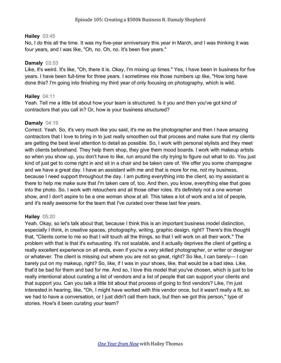#### **Hailey** 03:45

No, I do this all the time. It was my five-year anniversary this year in March, and I was thinking it was four years, and I was like, "Oh, no. Oh, no. It's been five years."

#### **Damaly** 03:53

Like, it's weird. It's like, "Oh, there it is. Okay, I'm mixing up times." Yes, I have been in business for five years. I have been full-time for three years. I sometimes mix those numbers up like, "How long have done this? I'm going into finishing my third year of only focusing on photography, which is wild.

# **Hailey** 04:11

Yeah. Tell me a little bit about how your team is structured. Is it you and then you've got kind of contractors that you call in? Or, how is your business structured?

#### **Damaly** 04:19

Correct. Yeah. So, it's very much like you said, it's me as the photographer and then I have amazing contractors that I love to bring in to just really smoothen out that process and make sure that my clients are getting the best level attention to detail as possible. So, I work with personal stylists and they meet with clients beforehand. They help them shop, they give them mood boards. I work with makeup artists so when you show up, you don't have to like, run around the city trying to figure out what to do. You just kind of just get to come right in and sit in a chair and be taken care of. We offer you some champagne and we have a great day. I have an assistant with me and that is more for me, not my business, because I need support throughout the day. I am putting everything into the client, so my assistant is there to help me make sure that I'm taken care of, too. And then, you know, everything else that goes into the photo. So, I work with retouchers and all those other roles. It's definitely not a one woman show, and I don't aspire to be a one woman show at all. This takes a lot of work and a lot of people, and it's really awesome for the team that I've curated over these last few years.

# **Hailey** 05:20

Yeah. Okay, so let's talk about that, because I think this is an important business model distinction, especially I think, in creative spaces, photography, writing, graphic design, right? There's this thought that, "Clients come to me so that I will touch all the things, so that I will work on all their work." The problem with that is that it's exhausting. It's not scalable, and it actually deprives the client of getting a really excellent experience on all ends, even if you're a very skilled photographer, or writer or designer or whatever. The client is missing out where you are not so great, right? So like, I can barely— I can barely put on my makeup, right? So, like, if I was in your shoes, like, that would be a bad idea. Like, that'd be bad for them and bad for me. And so, I love this model that you've chosen, which is just to be really intentional about curating a list of vendors and a list of people that can support your clients and that support you. Can you talk a little bit about that process of going to find vendors? Like, I'm just interested in hearing, like, "Oh, I might have worked with this vendor once, but it wasn't really a fit, so we had to have a conversation, or I just didn't call them back, but then we got this person," type of stories. How's it been curating your team?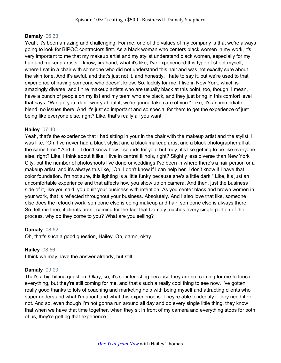#### **Damaly** 06:33

Yeah, it's been amazing and challenging. For me, one of the values of my company is that we're always going to look for BIPOC contractors first. As a black woman who centers black women in my work, it's very important to me that my makeup artist and my stylist understand black women, especially for my hair and makeup artists. I know, firsthand, what it's like, I've experienced this type of shoot myself, where I sat in a chair with someone who did not understand this hair and was not exactly sure about the skin tone. And it's awful, and that's just not it, and honestly, I hate to say it, but we're used to that experience of having someone who doesn't know. So, luckily for me, I live in New York, which is amazingly diverse, and I hire makeup artists who are usually black at this point, too, though. I mean, I have a bunch of people on my list and my team who are black, and they just bring in this comfort level that says, "We got you, don't worry about it, we're gonna take care of you." Like, it's an immediate blend, no issues there. And it's just so important and so special for them to get the experience of just being like everyone else, right? Like, that's really all you want.

#### **Hailey** 07:40

Yeah, that's the experience that I had sitting in your in the chair with the makeup artist and the stylist. I was like, "Oh, I've never had a black stylist and a black makeup artist and a black photographer all at the same time." And it— I don't know how it sounds for you, but truly, it's like getting to be like everyone else, right? Like, I think about it like, I live in central Illinois, right? Slightly less diverse than New York City, but the number of photoshoots I've done or weddings I've been in where there's a hair person or a makeup artist, and it's always this like, "Oh, I don't know if I can help her. I don't know if I have that color foundation. I'm not sure, this lighting is a little funky because she's a little dark." Like, it's just an uncomfortable experience and that affects how you show up on camera. And then, just the business side of it, like you said, you built your business with intention. As you center black and brown women in your work, that is reflected throughout your business. Absolutely. And I also love that like, someone else does the retouch work, someone else is doing makeup and hair, someone else is always there. So, tell me then, if clients aren't coming for the fact that Damaly touches every single portion of the process, why do they come to you? What are you selling?

#### **Damaly** 08:52

Oh, that's such a good question, Hailey. Oh, damn, okay.

# **Hailey** 08:56

I think we may have the answer already, but still.

# **Damaly** 09:00

That's a big hitting question. Okay, so, it's so interesting because they are not coming for me to touch everything, but they're still coming for me, and that's such a really cool thing to see now. I've gotten really good thanks to lots of coaching and marketing help with being myself and attracting clients who super understand what I'm about and what this experience is. They're able to identify if they need it or not. And so, even though I'm not gonna run around all day and do every single little thing, they know that when we have that time together, when they sit in front of my camera and everything stops for both of us, they're getting that experience.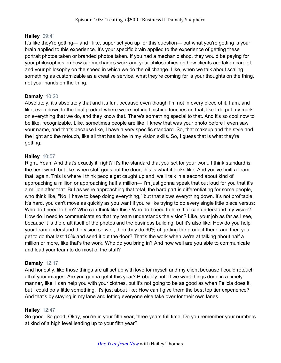#### **Hailey** 09:41

It's like they're getting— and I like, super set you up for this question— but what you're getting is your brain applied to this experience. It's your specific brain applied to the experience of getting these portrait photos taken or branded photos taken. If you had a mechanic shop, they would be paying for your philosophies on how car mechanics work and your philosophies on how clients are taken care of, and your philosophy on the speed in which we do the oil change. Like, when we talk about scaling something as customizable as a creative service, what they're coming for is your thoughts on the thing, not your hands on the thing.

#### **Damaly** 10:20

Absolutely, it's absolutely that and it's fun, because even though I'm not in every piece of it, I am, and like, even down to the final product where we're putting finishing touches on that, like I do put my mark on everything that we do, and they know that. There's something special to that. And it's so cool now to be like, recognizable. Like, sometimes people are like, I knew that was your photo before I even saw your name, and that's because like, I have a very specific standard. So, that makeup and the style and the light and the retouch, like all that has to be in my vision skills. So, I guess that is what they're getting.

#### **Hailey** 10:57

Right. Yeah. And that's exactly it, right? It's the standard that you set for your work. I think standard is the best word, but like, when stuff goes out the door, this is what it looks like. And you've built a team that, again. This is where I think people get caught up and, we'll talk in a second about kind of approaching a million or approaching half a million— I'm just gonna speak that out loud for you that it's a million after that. But as we're approaching that total, the hard part is differentiating for some people, who think like, "No, I have to keep doing everything," but that slows everything down. It's not profitable. It's hard, you can't move as quickly as you want if you're like trying to do every single little piece versus: Who do I need to hire? Who can think like this? Who do I need to hire that can understand my vision? How do I need to communicate so that my team understands the vision? Like, your job as far as I see, because it is the craft itself of the photos and the business building, but it's also like: How do you help your team understand the vision so well, then they do 90% of getting the product there, and then you get to do that last 10% and send it out the door? That's the work when we're at talking about half a million or more, like that's the work. Who do you bring in? And how well are you able to communicate and lead your team to do most of the stuff?

#### **Damaly** 12:17

And honestly, like those things are all set up with love for myself and my client because I could retouch all of your images. Are you gonna get it this year? Probably not. If we want things done in a timely manner, like, I can help you with your clothes, but it's not going to be as good as when Felicia does it, but I could do a little something. It's just about like: How can I give them the best top tier experience? And that's by staying in my lane and letting everyone else take over for their own lanes.

# **Hailey** 12:47

So good. So good. Okay, you're in your fifth year, three years full time. Do you remember your numbers at kind of a high level leading up to your fifth year?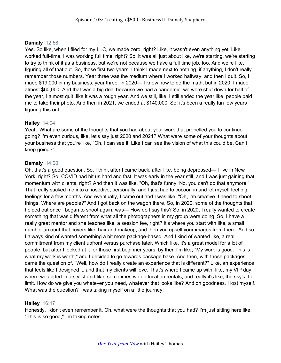# **Damaly** 12:58

Yes. So like, when I filed for my LLC, we made zero, right? Like, it wasn't even anything yet. Like, I worked full-time, I was working full time, right? So, it was all just about like, we're starting, we're starting to try to think of it as a business, but we're not because we have a full time job, too. And we're like, figuring all of that out. So, those first two years, I think I made next to nothing, if anything, I don't really remember those numbers. Year three was the medium where I worked halfway, and then I quit. So, I made \$19,000 in my business, year three. In 2020— I know how to do the math, but in 2020, I made almost \$60,000. And that was a big deal because we had a pandemic, we were shut down for half of the year, I almost quit, like it was a rough year. And we still, like, I still ended the year like, people paid me to take their photo. And then in 2021, we ended at \$140,000. So, it's been a really fun few years figuring this out.

# **Hailey** 14:04

Yeah. What are some of the thoughts that you had about your work that propelled you to continue going? I'm even curious, like, let's say just 2020 and 2021? What were some of your thoughts about your business that you're like, "Oh, I can see it. Like I can see the vision of what this could be. Can I keep going?"

# **Damaly** 14:20

Oh, that's a good question. So, I think after I came back, after like, being depressed— I live in New York, right? So, COVID had hit us hard and fast. It was early in the year still, and I was just gaining that momentum with clients, right? And then it was like, "Oh, that's funny. No, you can't do that anymore." That really sucked me into a nosedive, personally, and I just had to cocoon in and let myself feel big feelings for a few months. And eventually, I came out and I was like, "Oh, I'm creative. I need to shoot things. Where are people?" And I got back on the wagon there. So, in 2020, some of the thoughts that helped out once I began to shoot again, was— How do I say this? So, in 2020, I really wanted to create something that was different from what all the photographers in my group were doing. So, I have a really great mentor and she teaches like, a session fee, right? It's where you start with like, a small number amount that covers like, hair and makeup, and then you upsell your images from there. And so, I always kind of wanted something a bit more package-based. And I kind of wanted like, a real commitment from my client upfront versus purchase later. Which like, it's a great model for a lot of people, but after I looked at it for those first beginner years, by then I'm like, "My work is good. This is what my work is worth," and I decided to go towards package base. And then, with those packages came the question of, "Well, how do I really create an experience that is different?" Like, an experience that feels like I designed it, and that my clients will love. That's where I came up with, like, my VIP day, where we added in a stylist and like, sometimes we do location rentals, and really it's like, the sky's the limit. How do we give you whatever you need, whatever that looks like? And oh goodness, I lost myself. What was the question? I was taking myself on a little journey.

# **Hailey** 16:17

Honestly, I don't even remember it. Oh, what were the thoughts that you had? I'm just sitting here like, "This is so good," I'm taking notes.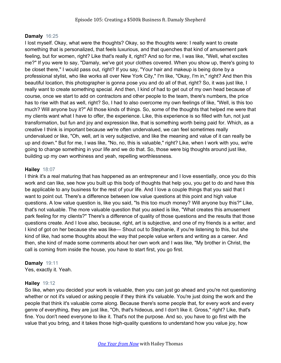# **Damaly** 16:25

I lost myself. Okay, what were the thoughts? Okay, so the thoughts were: I really want to create something that is personalized, that feels luxurious, and that quenches that kind of amusement park feeling, but for women, right? Like that's really it, right? And so for me, I was like, "Well, what excites me?" If you were to say, "Damaly, we've got your clothes covered. When you show up, there's going to be closet there," I would pass out, right? If you say, "Your hair and makeup is being done by a professional stylist, who like works all over New York City," I'm like, "Okay, I'm in," right? And then this beautiful location, this photographer is gonna pose you and do all of that, right? So, it was just like, I really want to create something special. And then, I kind of had to get out of my own head because of course, once we start to add on contractors and other people to the team, there's numbers, the price has to rise with that as well, right? So, I had to also overcome my own feelings of like, "Well, is this too much? Will anyone buy it?" All those kinds of things. So, some of the thoughts that helped me were that my clients want what I have to offer, the experience. Like, this experience is so filled with fun, not just transformation, but fun and joy and expression like, that is something worth being paid for. Which, as a creative I think is important because we're often undervalued, we can feel sometimes really undervalued or like, "Oh, well, art is very subjective, and like the meaning and value of it can really be up and down." But for me, I was like, "No, no, this is valuable," right? Like, when I work with you, we're going to change something in your life and we do that. So, those were big thoughts around just like, building up my own worthiness and yeah, repelling worthlessness.

#### **Hailey** 18:07

I think it's a real maturing that has happened as an entrepreneur and I love essentially, once you do this work and can like, see how you built up this body of thoughts that help you, you get to do and have this be applicable to any business for the rest of your life. And I love a couple things that you said that I want to point out. There's a difference between low value questions at this point and high value questions. A low value question is, like you said, "Is this too much money? Will anyone buy this?" Like, that's not valuable. The more valuable question that you asked is like, "What creates this amusement park feeling for my clients?" There's a difference of quality of those questions and the results that those questions create. And I love also, because, right, art is subjective, and one of my friends is a writer, and I kind of got on her because she was like— Shout out to Stephanie, if you're listening to this, but she kind of like, had some thoughts about the way that people value writers and writing as a career. And then, she kind of made some comments about her own work and I was like, "My brother in Christ, the call is coming from inside the house, you have to start first, you go first.

# **Damaly** 19:11

Yes, exactly it. Yeah.

# **Hailey** 19:12

So like, when you decided your work is valuable, then you can just go ahead and you're not questioning whether or not it's valued or asking people if they think it's valuable. You're just doing the work and the people that think it's valuable come along. Because there's some people that, for every work and every genre of everything, they are just like, "Oh, that's hideous, and I don't like it. Gross," right? Like, that's fine. You don't need everyone to like it. That's not the purpose. And so, you have to go first with the value that you bring, and it takes those high-quality questions to understand how you value joy, how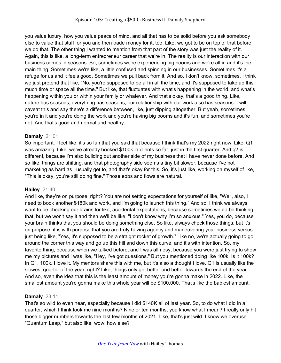you value luxury, how you value peace of mind, and all that has to be solid before you ask somebody else to value that stuff for you and then trade money for it, too. Like, we got to be on top of that before we do that. The other thing I wanted to mention from that part of the story was just the reality of it. Again, this is like, a long-term entrepreneur career that we're in. The reality is our interaction with our business comes in seasons. So, sometimes we're experiencing big booms and we're all in and it's the main thing. Sometimes we're like, a little confused and spinning in our businesses. Sometimes it's a refuge for us and it feels good. Sometimes we pull back from it. And so, I don't know, sometimes, I think we just pretend that like, "No, you're supposed to be all in all the time, and it's supposed to take up this much time or space all the time." But like, that fluctuates with what's happening in the world, and what's happening within you or within your family or whatever. And that's okay, that's a good thing. Like, nature has seasons, everything has seasons, our relationship with our work also has seasons. I will caveat this and say there's a difference between, like, just dipping altogether. But yeah, sometimes you're in it and you're doing the work and you're having big booms and it's fun, and sometimes you're not. And that's good and normal and healthy.

# **Damaly** 21:01

So important. I feel like, it's so fun that you said that because I think that's my 2022 right now. Like, Q1 was amazing. Like, we've already booked \$100k in clients so far, just in the first quarter. And q2 is different, because I'm also building out another side of my business that I have never done before. And so like, things are shifting, and that photography side seems a tiny bit slower, because I've not marketing as hard as I usually get to, and that's okay for this. So, it's just like, working on myself of like, "This is okay, you're still doing fine." Those ebbs and flows are natural.

# **Hailey** 21:40

And like, they're on purpose, right? You are not setting expectations for yourself of like, "Well, also, I need to book another \$180k and work, and I'm going to launch this thing." And so, I think we always want to be checking our brains for like, accidental expectations, because sometimes we do be thinking that, but we won't say it and then we'll be like, "I don't know why I'm so anxious." Yes, you do, because your brain thinks that you should be doing something else. So like, always check those things, but it's on purpose, it is with purpose that you are truly having agency and maneuvering your business versus just being like, "Yes, it's supposed to be a straight rocket of growth." Like no, we're actually going to go around the corner this way and go up this hill and down this curve, and it's with intention. So, my favorite thing, because when we talked before, and I was all nosy, because you were just trying to show me my pictures and I was like, "Hey, I've got questions." But you mentioned doing like 100k. Is it 100k? In Q1, 100k. I love it. My mentors share this with me, but it's also a thought I love. Q1 is usually like the slowest quarter of the year, right? Like, things only get better and better towards the end of the year. And so, even the idea that this is the least amount of money you're gonna make in 2022. Like, the smallest amount you're gonna make this whole year will be \$100,000. That's like the babiest amount.

# **Damaly** 23:11

That's so wild to even hear, especially because I did \$140K all of last year. So, to do what I did in a quarter, which I think took me nine months? Nine or ten months, you know what I mean? I really only hit those bigger numbers towards the last few months of 2021. Like, that's just wild. I know we overuse "Quantum Leap," but also like, wow, how else?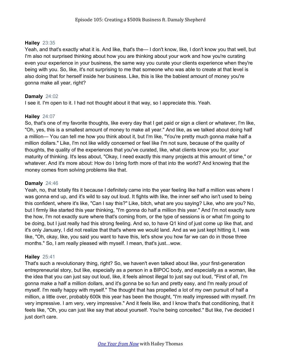## **Hailey** 23:35

Yeah, and that's exactly what it is. And like, that's the— I don't know, like, I don't know you that well, but I'm also not surprised thinking about how you are thinking about your work and how you're curating even your experience in your business, the same way you curate your clients experience when they're being with you. So, like, it's not surprising to me that someone who was able to create at that level is also doing that for herself inside her business. Like, this is like the babiest amount of money you're gonna make all year, right?

# **Damaly** 24:02

I see it. I'm open to it. I had not thought about it that way, so I appreciate this. Yeah.

# **Hailey** 24:07

So, that's one of my favorite thoughts, like every day that I get paid or sign a client or whatever, I'm like, "Oh, yes, this is a smallest amount of money to make all year." And like, as we talked about doing half a million— You can tell me how you think about it, but I'm like, "You're pretty much gonna make half a million dollars." Like, I'm not like wildly concerned or feel like I'm not sure, because of the quality of thoughts, the quality of the experiences that you've curated, like, what clients know you for, your maturity of thinking. It's less about, "Okay, I need exactly this many projects at this amount of time," or whatever. And it's more about: How do I bring forth more of that into the world? And knowing that the money comes from solving problems like that.

## **Damaly** 24:46

Yeah, no, that totally fits it because I definitely came into the year feeling like half a million was where I was gonna end up, and it's wild to say out loud. It fights with like, the inner self who isn't used to being this confident, where it's like, "Can I say this?" Like, bitch, what are you saying? Like, who are you? No, but I firmly like started this year thinking, "I'm gonna do half a million this year." And I'm not exactly sure the how, I'm not exactly sure where that's coming from, or the type of sessions is or what I'm going to be doing, but I just really had this strong feeling. And so, to have Q1 kind of just come up like that, and it's only January, I did not realize that that's where we would land. And as we just kept hitting it, I was like, "Oh, okay, like, you said you want to have this, let's show you how far we can do in those three months." So, I am really pleased with myself. I mean, that's just...wow.

# **Hailey** 25:41

That's such a revolutionary thing, right? So, we haven't even talked about like, your first-generation entrepreneurial story, but like, especially as a person in a BIPOC body, and especially as a woman, like the idea that you can just say out loud, like, it feels almost illegal to just say out loud, "First of all, I'm gonna make a half a million dollars, and it's gonna be so fun and pretty easy, and I'm really proud of myself. I'm really happy with myself." The thought that has propelled a lot of my own pursuit of half a million, a little over, probably 600k this year has been the thought, "I'm really impressed with myself. I'm very impressive. I am very, very impressive." And it feels like, and I know that's that conditioning, that it feels like, "Oh, you can just like say that about yourself. You're being conceited." But like, I've decided I just don't care.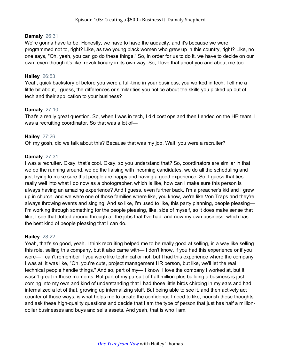#### **Damaly** 26:31

We're gonna have to be. Honestly, we have to have the audacity, and it's because we were programmed not to, right? Like, as two young black women who grew up in this country, right? Like, no one says, "Oh, yeah, you can go do these things." So, in order for us to do it, we have to decide on our own, even though it's like, revolutionary in its own way. So, I love that about you and about me too.

#### **Hailey** 26:53

Yeah, quick backstory of before you were a full-time in your business, you worked in tech. Tell me a little bit about, I guess, the differences or similarities you notice about the skills you picked up out of tech and their application to your business?

#### **Damaly** 27:10

That's a really great question. So, when I was in tech, I did cost ops and then I ended on the HR team. I was a recruiting coordinator. So that was a lot of—

#### **Hailey** 27:26

Oh my gosh, did we talk about this? Because that was my job. Wait, you were a recruiter?

#### **Damaly** 27:31

I was a recruiter. Okay, that's cool. Okay, so you understand that? So, coordinators are similar in that we do the running around, we do the liaising with incoming candidates, we do all the scheduling and just trying to make sure that people are happy and having a good experience. So, I guess that ties really well into what I do now as a photographer, which is like, how can I make sure this person is always having an amazing experience? And I guess, even further back, I'm a preacher's kid and I grew up in church, and we were one of those families where like, you know, we're like Von Traps and they're always throwing events and singing. And so like, I'm used to like, this party planning, people pleasing— I'm working through something for the people pleasing, like, side of myself, so it does make sense that like, I see that dotted around through all the jobs that I've had, and now my own business, which has the best kind of people pleasing that I can do.

# **Hailey** 28:22

Yeah, that's so good, yeah. I think recruiting helped me to be really good at selling, in a way like selling this role, selling this company, but it also came with— I don't know, if you had this experience or if you were— I can't remember if you were like technical or not, but I had this experience where the company I was at, it was like, "Oh, you're cute, project management HR person, but like, we'll let the real technical people handle things." And so, part of my— I know, I love the company I worked at, but it wasn't great in those moments. But part of my pursuit of half million plus building a business is just coming into my own and kind of understanding that I had those little birds chirping in my ears and had internalized a lot of that, growing up internalizing stuff. But being able to see it, and then actively act counter of those ways, is what helps me to create the confidence I need to like, nourish these thoughts and ask these high-quality questions and decide that I am the type of person that just has half a milliondollar businesses and buys and sells assets. And yeah, that is who I am.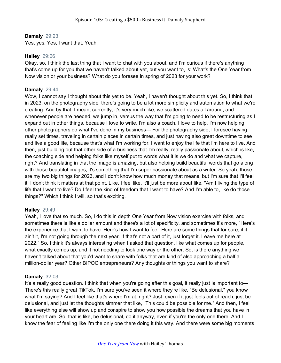### **Damaly** 29:23

Yes, yes. Yes, I want that. Yeah.

#### **Hailey** 29:26

Okay, so, I think the last thing that I want to chat with you about, and I'm curious if there's anything that's come up for you that we haven't talked about yet, but you want to, is: What's the One Year from Now vision or your business? What do you foresee in spring of 2023 for your work?

#### **Damaly** 29:44

Wow, I cannot say I thought about this yet to be. Yeah, I haven't thought about this yet. So, I think that in 2023, on the photography side, there's going to be a lot more simplicity and automation to what we're creating. And by that, I mean, currently, it's very much like, we scattered dates all around, and whenever people are needed, we jump in, versus the way that I'm going to need to be restructuring as I expand out in other things, because I love to write, I'm also a coach, I love to help, I'm now helping other photographers do what I've done in my business— For the photography side, I foresee having really set times, traveling in certain places in certain times, and just having also great downtime to see and live a good life, because that's what I'm working for. I want to enjoy the life that I'm here to live. And then, just building out that other side of a business that I'm really, really passionate about, which is like, the coaching side and helping folks like myself put to words what it is we do and what we capture, right? And translating in that the image is amazing, but also helping build beautiful words that go along with those beautiful images, it's something that I'm super passionate about as a writer. So yeah, those are my two big things for 2023, and I don't know how much money that means, but I'm sure that I'll feel it. I don't think it matters at that point. Like, I feel like, it'll just be more about like, "Am I living the type of life that I want to live? Do I feel the kind of freedom that I want to have? And I'm able to, like do those things?" Which I think I will, so that's exciting.

# **Hailey** 29:49

Yeah, I love that so much. So, I do this in depth One Year from Now vision exercise with folks, and sometimes there is like a dollar amount and there's a lot of specificity, and sometimes it's more, "Here's the experience that I want to have. Here's how I want to feel. Here are some things that for sure, if it ain't it, I'm not going through the next year. If that's not a part of it, just forget it. Leave me here at 2022." So, I think it's always interesting when I asked that question, like what comes up for people, what exactly comes up, and it not needing to look one way or the other. So, is there anything we haven't talked about that you'd want to share with folks that are kind of also approaching a half a million-dollar year? Other BIPOC entrepreneurs? Any thoughts or things you want to share?

#### **Damaly** 32:03

It's a really good question. I think that when you're going after this goal, it really just is important to— There's this really great TikTok, I'm sure you've seen it where they're like, "Be delusional," you know what I'm saying? And I feel like that's where I'm at, right? Just, even if it just feels out of reach, just be delusional, and just let the thoughts simmer that like, "This could be possible for me." And then, I feel like everything else will show up and conspire to show you how possible the dreams that you have in your heart are. So, that is like, be delusional, do it anyway, even if you're the only one there. And I know the fear of feeling like I'm the only one there doing it this way. And there were some big moments